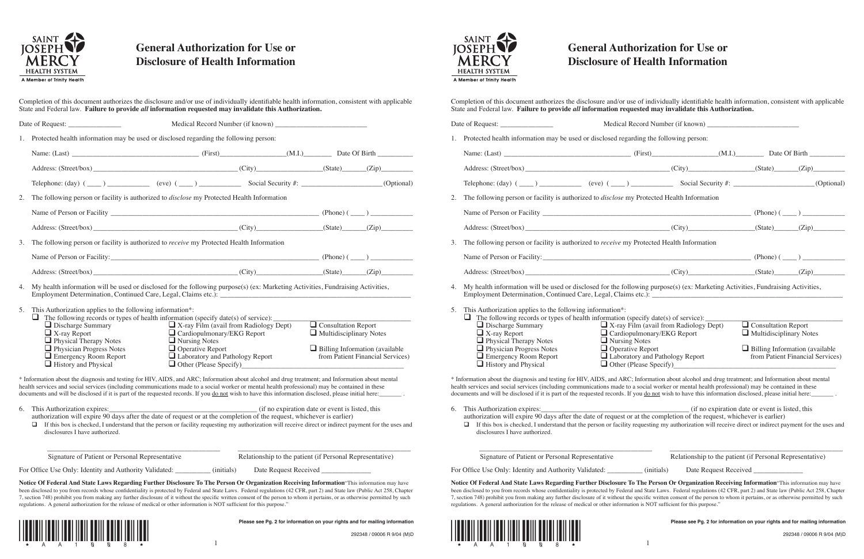

## **General Authorization for Use or Disclosure of Health Information**

| 1.       |                                                                                                                                                                             | Protected health information may be used or disclosed regarding the following person:                                                                                                                                                                                                                                                                                                                                                                                                               |  |                                                                                                       |                                  |
|----------|-----------------------------------------------------------------------------------------------------------------------------------------------------------------------------|-----------------------------------------------------------------------------------------------------------------------------------------------------------------------------------------------------------------------------------------------------------------------------------------------------------------------------------------------------------------------------------------------------------------------------------------------------------------------------------------------------|--|-------------------------------------------------------------------------------------------------------|----------------------------------|
|          |                                                                                                                                                                             |                                                                                                                                                                                                                                                                                                                                                                                                                                                                                                     |  |                                                                                                       |                                  |
|          |                                                                                                                                                                             | Address: (Street/box) (City) (City) (State) (State) (Zip)                                                                                                                                                                                                                                                                                                                                                                                                                                           |  |                                                                                                       |                                  |
|          |                                                                                                                                                                             | Telephone: $(\text{day})$ $(\underline{\hspace{1cm}})$ $(\underline{\hspace{1cm}})$ $(\underline{\hspace{1cm}})$ $(\underline{\hspace{1cm}})$ $(\underline{\hspace{1cm}})$ $(\underline{\hspace{1cm}})$ $(\underline{\hspace{1cm}})$ $(\underline{\hspace{1cm}})$ $(\underline{\hspace{1cm}})$ $(\underline{\hspace{1cm}})$ $(\underline{\hspace{1cm}})$ $(\underline{\hspace{1cm}})$ $(\underline{\hspace{1cm}})$ $(\underline{\hspace{1cm}})$ $(\underline{\hspace{1cm}})$ $(\underline{\hspace{$ |  |                                                                                                       |                                  |
| 2.       |                                                                                                                                                                             | The following person or facility is authorized to <i>disclose</i> my Protected Health Information                                                                                                                                                                                                                                                                                                                                                                                                   |  |                                                                                                       |                                  |
|          |                                                                                                                                                                             |                                                                                                                                                                                                                                                                                                                                                                                                                                                                                                     |  |                                                                                                       |                                  |
|          |                                                                                                                                                                             | Address: (Street/box) (City) (City) (State) (State) (Zip)                                                                                                                                                                                                                                                                                                                                                                                                                                           |  |                                                                                                       |                                  |
| 3.       | The following person or facility is authorized to receive my Protected Health Information                                                                                   |                                                                                                                                                                                                                                                                                                                                                                                                                                                                                                     |  |                                                                                                       |                                  |
|          |                                                                                                                                                                             |                                                                                                                                                                                                                                                                                                                                                                                                                                                                                                     |  |                                                                                                       |                                  |
|          |                                                                                                                                                                             |                                                                                                                                                                                                                                                                                                                                                                                                                                                                                                     |  |                                                                                                       |                                  |
| 4.<br>5. | This Authorization applies to the following information*:                                                                                                                   | Address: (Street/box) (Zip) (City) (City) (State) (State) (Zip)<br>My health information will be used or disclosed for the following purpose(s) (ex: Marketing Activities, Fundraising Activities,                                                                                                                                                                                                                                                                                                  |  |                                                                                                       |                                  |
|          | $\Box$ Discharge Summary<br>$\Box$ X-ray Report<br>Physical Therapy Notes<br>$\Box$ Physician Progress Notes<br>$\Box$ Emergency Room Report<br>$\Box$ History and Physical | $\Box$ The following records or types of health information (specify date(s) of service): _______<br>$\Box$ X-ray Film (avail from Radiology Dept)<br>Cardiopulmonary/EKG Report<br>$\Box$ Nursing Notes<br>$\Box$ Operative Report<br>Laboratory and Pathology Report<br>$\Box$ Other (Please Specify)                                                                                                                                                                                             |  | $\Box$ Consultation Report<br>$\Box$ Multidisciplinary Notes<br>$\Box$ Billing Information (available | from Patient Financial Services) |
|          |                                                                                                                                                                             | * Information about the diagnosis and testing for HIV, AIDS, and ARC; Information about alcohol and drug treatment; and Information about mental<br>health services and social services (including communications made to a social worker or mental health professional) may be contained in these<br>documents and will be disclosed if it is part of the requested records. If you do not wish to have this information disclosed, please initial here:                                           |  |                                                                                                       |                                  |
|          | disclosures I have authorized.                                                                                                                                              | If this box is checked, I understand that the person or facility requesting my authorization will receive direct or indirect payment for the uses and                                                                                                                                                                                                                                                                                                                                               |  |                                                                                                       |                                  |
|          | Signature of Patient or Personal Representative                                                                                                                             |                                                                                                                                                                                                                                                                                                                                                                                                                                                                                                     |  | Relationship to the patient (if Personal Representative)                                              |                                  |

been disclosed to you from records whose confidentiality is protected by Federal and State Laws. Federal regulations (42 CFR, part 2) and State law (Public Act 258, Chapter 7, section 748) prohibit you from making any further disclosure of it without the specific written consent of the person to whom it pertains, or as otherwise permitted by such regulations. A general authorization for the release of medical or other information is NOT sufficient for this purpose."



**Please see Pg. 2 for information on your rights and for mailing information**